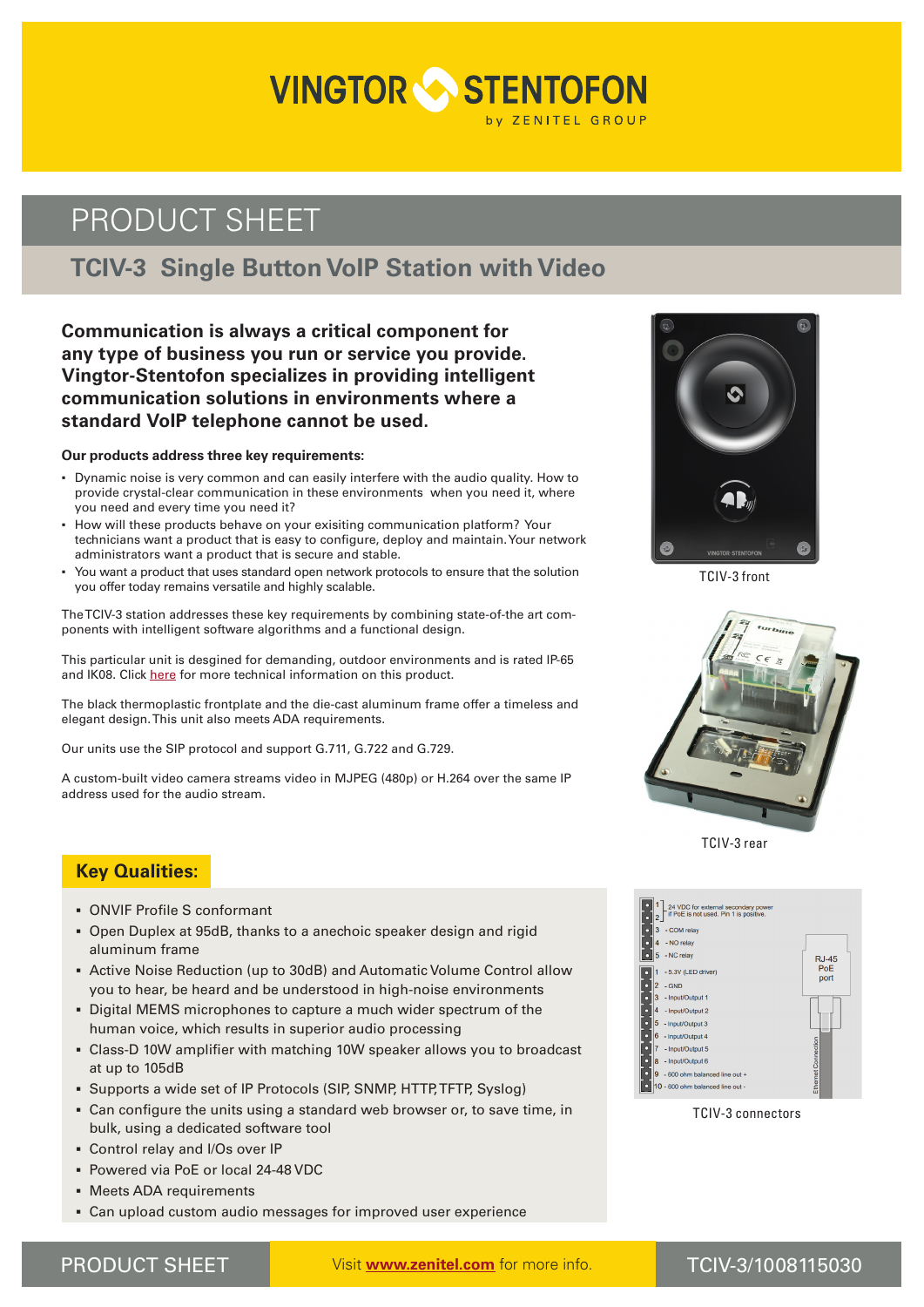# **VINGTOR STENTOFON**

# PRODUCT SHEET

## **TCIV-3 Single Button VoIP Station with Video**

**Communication is always a critical component for any type of business you run or service you provide. Vingtor-Stentofon specializes in providing intelligent communication solutions in environments where a standard VoIP telephone cannot be used.** 

#### **Our products address three key requirements:**

- Dynamic noise is very common and can easily interfere with the audio quality. How to provide crystal-clear communication in these environments when you need it, where you need and every time you need it?
- How will these products behave on your exisiting communication platform? Your technicians want a product that is easy to configure, deploy and maintain. Your network administrators want a product that is secure and stable.
- You want a product that uses standard open network protocols to ensure that the solution you offer today remains versatile and highly scalable.

The TCIV-3 station addresses these key requirements by combining state-of-the art components with intelligent software algorithms and a functional design.

This particular unit is desgined for demanding, outdoor environments and is rated IP-65 and IK08. Click [here](https://www.zenitel.com/product/tciv-3) for more technical information on this product.

The black thermoplastic frontplate and the die-cast aluminum frame offer a timeless and elegant design. This unit also meets ADA requirements.

Our units use the SIP protocol and support G.711, G.722 and G.729.

A custom-built video camera streams video in MJPEG (480p) or H.264 over the same IP address used for the audio stream.



TCIV-3 front



TCIV-3 rear



TCIV-3 connectors

## **Key Qualities:**

- **▪** ONVIF Profile S conformant
- **▪** Open Duplex at 95dB, thanks to a anechoic speaker design and rigid aluminum frame
- **▪** Active Noise Reduction (up to 30dB) and Automatic Volume Control allow you to hear, be heard and be understood in high-noise environments
- **▪** Digital MEMS microphones to capture a much wider spectrum of the human voice, which results in superior audio processing
- **▪** Class-D 10W amplifier with matching 10W speaker allows you to broadcast at up to 105dB
- **▪** Supports a wide set of IP Protocols (SIP, SNMP, HTTP, TFTP, Syslog)
- **▪** Can configure the units using a standard web browser or, to save time, in bulk, using a dedicated software tool
- **▪** Control relay and I/Os over IP
- **▪** Powered via PoE or local 24-48 VDC
- **▪** Meets ADA requirements
- **▪** Can upload custom audio messages for improved user experience